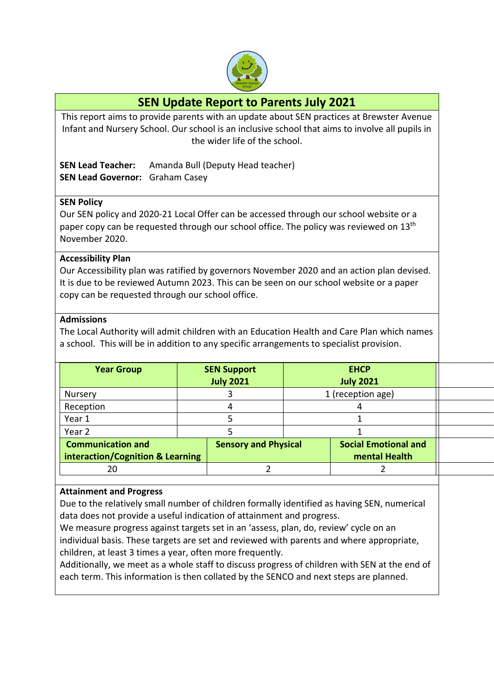

# **SEN Update Report to Parents July 2021**

This report aims to provide parents with an update about SEN practices at Brewster Avenue Infant and Nursery School. Our school is an inclusive school that aims to involve all pupils in the wider life of the school.

|                                        | <b>SEN Lead Teacher:</b> Amanda Bull (Deputy Head teacher) |
|----------------------------------------|------------------------------------------------------------|
| <b>SEN Lead Governor:</b> Graham Casey |                                                            |

## **SEN Policy**

Our SEN policy and 2020-21 Local Offer can be accessed through our school website or a paper copy can be requested through our school office. The policy was reviewed on 13<sup>th</sup> November 2020.

#### **Accessibility Plan**

Our Accessibility plan was ratified by governors November 2020 and an action plan devised. It is due to be reviewed Autumn 2023. This can be seen on our school website or a paper copy can be requested through our school office.

#### **Admissions**

The Local Authority will admit children with an Education Health and Care Plan which names a school. This will be in addition to any specific arrangements to specialist provision.

| <b>Year Group</b>        |                                                                 | <b>SEN Support</b><br><b>July 2021</b> | <b>EHCP</b><br><b>July 2021</b>              |  |
|--------------------------|-----------------------------------------------------------------|----------------------------------------|----------------------------------------------|--|
| Nursery                  |                                                                 |                                        | 1 (reception age)                            |  |
| Reception                |                                                                 |                                        |                                              |  |
| Year 1                   |                                                                 |                                        |                                              |  |
| Year 2                   |                                                                 |                                        |                                              |  |
| <b>Communication and</b> | <b>Sensory and Physical</b><br>interaction/Cognition & Learning |                                        | <b>Social Emotional and</b><br>mental Health |  |
| 20                       |                                                                 |                                        |                                              |  |

#### **Attainment and Progress**

Due to the relatively small number of children formally identified as having SEN, numerical data does not provide a useful indication of attainment and progress.

We measure progress against targets set in an 'assess, plan, do, review' cycle on an individual basis. These targets are set and reviewed with parents and where appropriate, children, at least 3 times a year, often more frequently.

Additionally, we meet as a whole staff to discuss progress of children with SEN at the end of each term. This information is then collated by the SENCO and next steps are planned.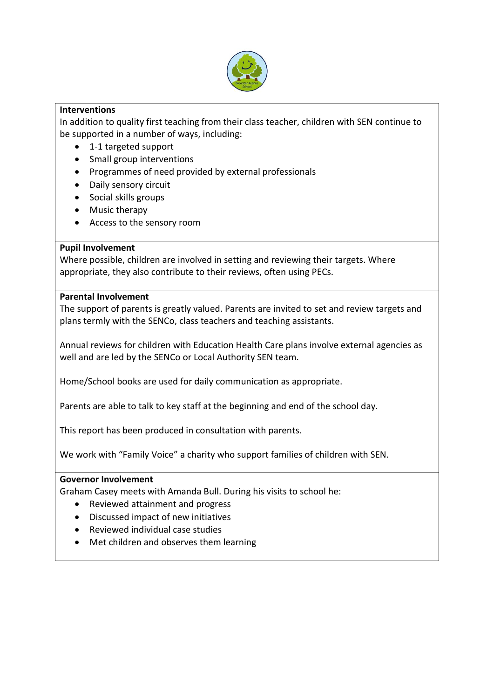

# **Interventions**

In addition to quality first teaching from their class teacher, children with SEN continue to be supported in a number of ways, including:

- 1-1 targeted support
- Small group interventions
- Programmes of need provided by external professionals
- Daily sensory circuit
- Social skills groups
- Music therapy
- Access to the sensory room

## **Pupil Involvement**

Where possible, children are involved in setting and reviewing their targets. Where appropriate, they also contribute to their reviews, often using PECs.

## **Parental Involvement**

The support of parents is greatly valued. Parents are invited to set and review targets and plans termly with the SENCo, class teachers and teaching assistants.

Annual reviews for children with Education Health Care plans involve external agencies as well and are led by the SENCo or Local Authority SEN team.

Home/School books are used for daily communication as appropriate.

Parents are able to talk to key staff at the beginning and end of the school day.

This report has been produced in consultation with parents.

We work with "Family Voice" a charity who support families of children with SEN.

#### **Governor Involvement**

Graham Casey meets with Amanda Bull. During his visits to school he:

- Reviewed attainment and progress
- Discussed impact of new initiatives
- Reviewed individual case studies
- Met children and observes them learning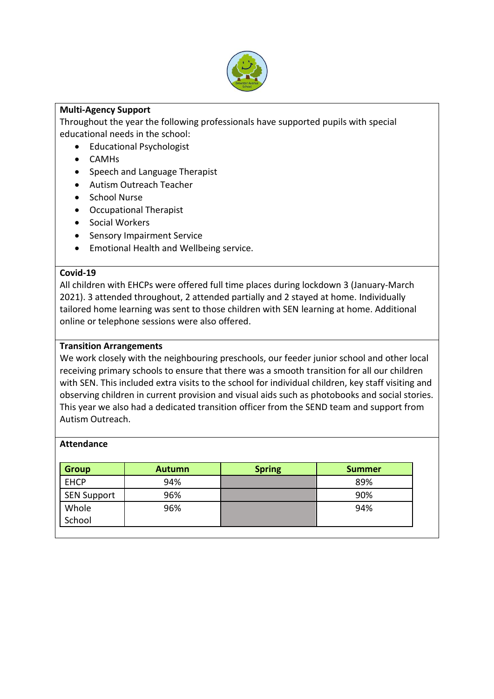

# **Multi-Agency Support**

Throughout the year the following professionals have supported pupils with special educational needs in the school:

- Educational Psychologist
- CAMHs
- Speech and Language Therapist
- Autism Outreach Teacher
- School Nurse
- Occupational Therapist
- Social Workers
- **•** Sensory Impairment Service
- Emotional Health and Wellbeing service.

#### **Covid-19**

All children with EHCPs were offered full time places during lockdown 3 (January-March 2021). 3 attended throughout, 2 attended partially and 2 stayed at home. Individually tailored home learning was sent to those children with SEN learning at home. Additional online or telephone sessions were also offered.

### **Transition Arrangements**

We work closely with the neighbouring preschools, our feeder junior school and other local receiving primary schools to ensure that there was a smooth transition for all our children with SEN. This included extra visits to the school for individual children, key staff visiting and observing children in current provision and visual aids such as photobooks and social stories. This year we also had a dedicated transition officer from the SEND team and support from Autism Outreach.

#### **Attendance**

| <b>Group</b> | <b>Autumn</b> | <b>Spring</b> | <b>Summer</b> |
|--------------|---------------|---------------|---------------|
| <b>EHCP</b>  | 94%           |               | 89%           |
| SEN Support  | 96%           |               | 90%           |
| Whole        | 96%           |               | 94%           |
| School       |               |               |               |